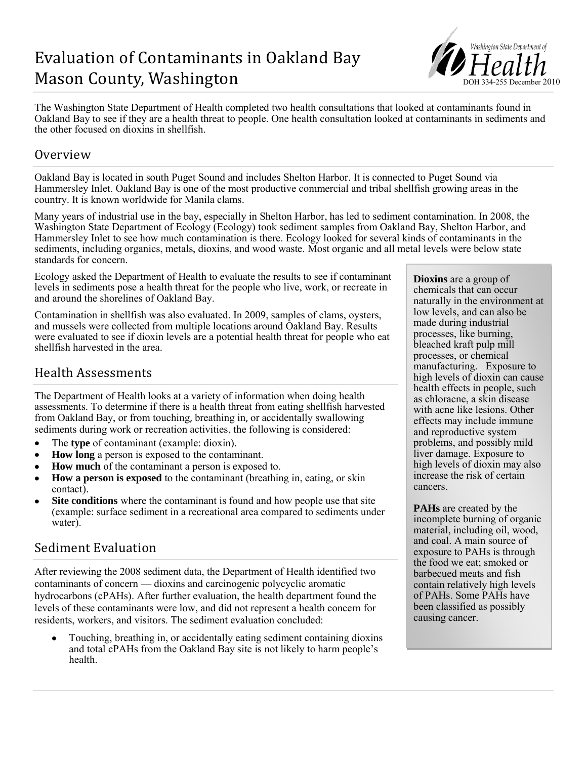# Evaluation of Contaminants in Oakland Bay Mason County, Washington



The Washington State Department of Health completed two health consultations that looked at contaminants found in Oakland Bay to see if they are a health threat to people. One health consultation looked at contaminants in sediments and the other focused on dioxins in shellfish.

### Overview

Oakland Bay is located in south Puget Sound and includes Shelton Harbor. It is connected to Puget Sound via Hammersley Inlet. Oakland Bay is one of the most productive commercial and tribal shellfish growing areas in the country. It is known worldwide for Manila clams.

Many years of industrial use in the bay, especially in Shelton Harbor, has led to sediment contamination. In 2008, the Washington State Department of Ecology (Ecology) took sediment samples from Oakland Bay, Shelton Harbor, and Hammersley Inlet to see how much contamination is there. Ecology looked for several kinds of contaminants in the sediments, including organics, metals, dioxins, and wood waste. Most organic and all metal levels were below state standards for concern.

Ecology asked the Department of Health to evaluate the results to see if contaminant levels in sediments pose a health threat for the people who live, work, or recreate in and around the shorelines of Oakland Bay.

Contamination in shellfish was also evaluated. In 2009, samples of clams, oysters, and mussels were collected from multiple locations around Oakland Bay. Results were evaluated to see if dioxin levels are a potential health threat for people who eat shellfish harvested in the area.

## Health Assessments

The Department of Health looks at a variety of information when doing health assessments. To determine if there is a health threat from eating shellfish harvested from Oakland Bay, or from touching, breathing in, or accidentally swallowing sediments during work or recreation activities, the following is considered:

- The **type** of contaminant (example: dioxin).  $\bullet$
- **How long** a person is exposed to the contaminant.
- **How much** of the contaminant a person is exposed to.
- **How a person is exposed** to the contaminant (breathing in, eating, or skin contact).
- **Site conditions** where the contaminant is found and how people use that site  $\bullet$ (example: surface sediment in a recreational area compared to sediments under water).

### Sediment Evaluation

After reviewing the 2008 sediment data, the Department of Health identified two contaminants of concern — dioxins and carcinogenic polycyclic aromatic hydrocarbons (cPAHs). After further evaluation, the health department found the levels of these contaminants were low, and did not represent a health concern for residents, workers, and visitors. The sediment evaluation concluded:

Touching, breathing in, or accidentally eating sediment containing dioxins and total cPAHs from the Oakland Bay site is not likely to harm people's health.

**Dioxins** are a group of chemicals that can occur naturally in the environment at low levels, and can also be made during industrial processes, like burning, bleached kraft pulp mill processes, or chemical manufacturing. Exposure to high levels of dioxin can cause health effects in people, such as chloracne, a skin disease with acne like lesions. Other effects may include immune and reproductive system problems, and possibly mild liver damage. Exposure to high levels of dioxin may also increase the risk of certain cancers.

**PAHs** are created by the incomplete burning of organic material, including oil, wood, and coal. A main source of exposure to PAHs is through the food we eat; smoked or barbecued meats and fish contain relatively high levels of PAHs. Some PAHs have been classified as possibly causing cancer.